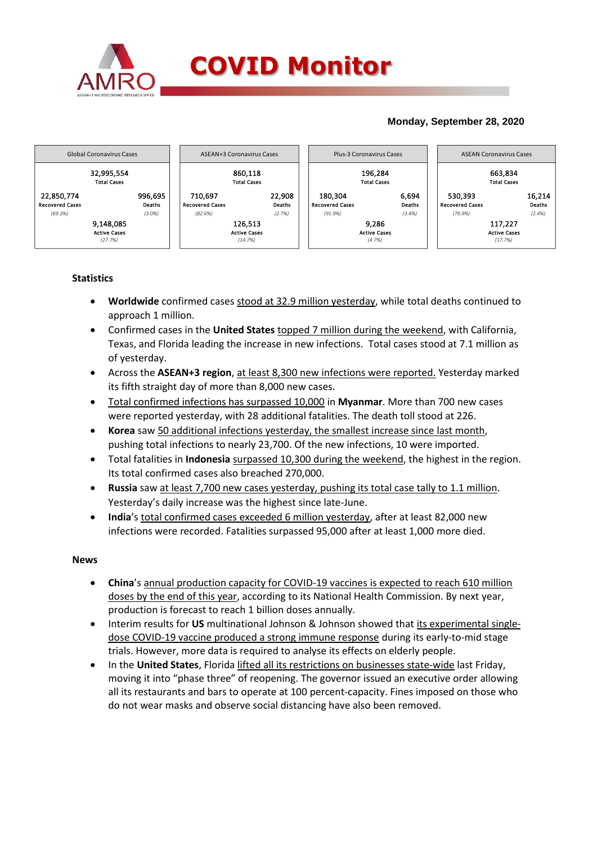

## **Monday, September 28, 2020**



## **Statistics**

- **Worldwide** confirmed cases stood at 32.9 million yesterday, while total deaths continued to approach 1 million.
- Confirmed cases in the **United States** topped 7 million during the weekend, with California, Texas, and Florida leading the increase in new infections. Total cases stood at 7.1 million as of yesterday.
- Across the **ASEAN+3 region**, at least 8,300 new infections were reported. Yesterday marked its fifth straight day of more than 8,000 new cases.
- Total confirmed infections has surpassed 10,000 in **Myanmar**. More than 700 new cases were reported yesterday, with 28 additional fatalities. The death toll stood at 226.
- **Korea** saw 50 additional infections yesterday, the smallest increase since last month, pushing total infections to nearly 23,700. Of the new infections, 10 were imported.
- Total fatalities in **Indonesia** surpassed 10,300 during the weekend, the highest in the region. Its total confirmed cases also breached 270,000.
- **Russia** saw at least 7,700 new cases yesterday, pushing its total case tally to 1.1 million. Yesterday's daily increase was the highest since late-June.
- **India**'s total confirmed cases exceeded 6 million yesterday, after at least 82,000 new infections were recorded. Fatalities surpassed 95,000 after at least 1,000 more died.

## **News**

- **China**'s annual production capacity for COVID-19 vaccines is expected to reach 610 million doses by the end of this year, according to its National Health Commission. By next year, production is forecast to reach 1 billion doses annually.
- Interim results for **US** multinational Johnson & Johnson showed that its experimental singledose COVID-19 vaccine produced a strong immune response during its early-to-mid stage trials. However, more data is required to analyse its effects on elderly people.
- In the **United States**, Florida lifted all its restrictions on businesses state-wide last Friday, moving it into "phase three" of reopening. The governor issued an executive order allowing all its restaurants and bars to operate at 100 percent-capacity. Fines imposed on those who do not wear masks and observe social distancing have also been removed.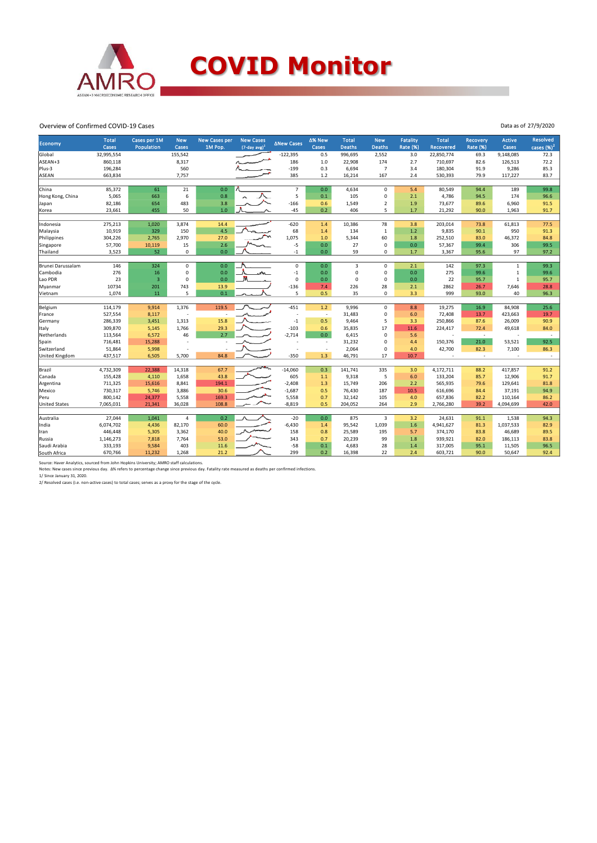

Overview of Confirmed COVID-19 Cases

| Economy              | <b>Total</b><br>Cases | Cases per 1M<br>Population | <b>New</b><br>Cases | <b>New Cases per</b><br>1M Pop. | <b>New Cases</b><br>$(7$ -day avg $)^1$ | <b>ANew Cases</b> | ∆% New<br>Cases          | <b>Total</b><br><b>Deaths</b> | <b>New</b><br><b>Deaths</b> | Fatality<br><b>Rate (%)</b> | <b>Total</b><br>Recovered | <b>Recovery</b><br><b>Rate (%)</b> | <b>Active</b><br>Cases | <b>Resolved</b><br>cases $(%)2$ |
|----------------------|-----------------------|----------------------------|---------------------|---------------------------------|-----------------------------------------|-------------------|--------------------------|-------------------------------|-----------------------------|-----------------------------|---------------------------|------------------------------------|------------------------|---------------------------------|
| Global               | 32,995,554            |                            | 155,542             |                                 |                                         | $-122,395$        | 0.5                      | 996,695                       | 2,552                       | 3.0                         | 22,850,774                | 69.3                               | 9,148,085              | 72.3                            |
| ASEAN+3              | 860,118               |                            | 8,317               |                                 |                                         | 186               | $1.0$                    | 22,908                        | 174                         | 2.7                         | 710,697                   | 82.6                               | 126,513                | 72.2                            |
| Plus-3               | 196,284               |                            | 560                 |                                 |                                         | $-199$            | 0.3                      | 6,694                         | $\overline{7}$              | 3.4                         | 180,304                   | 91.9                               | 9,286                  | 85.3                            |
| ASEAN                | 663,834               |                            | 7,757               |                                 |                                         | 385               | 1.2                      | 16,214                        | 167                         | 2.4                         | 530,393                   | 79.9                               | 117,227                | 83.7                            |
|                      |                       |                            |                     |                                 |                                         |                   |                          |                               |                             |                             |                           |                                    |                        |                                 |
| China                | 85,372                | 61                         | 21                  | 0.0                             |                                         | $\overline{7}$    | 0.0                      | 4,634                         | $\mathbf 0$                 | 5.4                         | 80,549                    | 94.4                               | 189                    | 99.8                            |
| Hong Kong, China     | 5,065                 | 663                        | 6                   | 0.8                             |                                         | 5                 | 0.1                      | 105                           | $\mathbf 0$                 | 2.1                         | 4,786                     | 94.5                               | 174                    | 96.6                            |
| Japan                | 82,186                | 654                        | 483                 | 3.8                             |                                         | $-166$            | 0.6                      | 1,549                         | $\overline{2}$              | 1.9                         | 73,677                    | 89.6                               | 6,960                  | 91.5                            |
| Korea                | 23,661                | 455                        | 50                  | $1.0$                           |                                         | $-45$             | 0.2                      | 406                           | 5                           | 1.7                         | 21,292                    | 90.0                               | 1,963                  | 91.7                            |
|                      |                       |                            |                     |                                 |                                         |                   |                          |                               |                             |                             |                           |                                    |                        |                                 |
| Indonesia            | 275,213               | 1,020                      | 3,874               | 14.4                            |                                         | $-620$            | 1.4                      | 10,386                        | 78                          | 3.8                         | 203,014                   | 73.8                               | 61,813                 | 77.5                            |
| Malaysia             | 10,919                | 329                        | 150                 | 4.5                             |                                         | 68                | 1.4                      | 134                           | $\mathbf{1}$                | 1.2                         | 9,835                     | 90.1                               | 950                    | 91.3                            |
| Philippines          | 304,226               | 2,765                      | 2,970               | 27.0                            |                                         | 1,075             | 1.0                      | 5,344                         | 60                          | 1.8                         | 252,510                   | 83.0                               | 46,372                 | 84.8                            |
| Singapore            | 57,700                | 10,119                     | 15                  | 2.6                             |                                         | $-5$              | 0.0                      | 27                            | $\mathbf 0$                 | 0.0                         | 57,367                    | 99.4                               | 306                    | 99.5                            |
| Thailand             | 3,523                 | 52                         | 0                   | 0.0                             |                                         | $-1$              | 0.0                      | 59                            | $\mathbf 0$                 | 1.7                         | 3,367                     | 95.6                               | 97                     | 97.2                            |
|                      |                       |                            |                     |                                 |                                         |                   |                          |                               |                             |                             |                           |                                    |                        |                                 |
| Brunei Darussalam    | 146                   | 324                        | $\Omega$            | 0.0                             |                                         | $\mathbf 0$       | 0.0                      | $\overline{3}$                | $\mathbf 0$                 | 2.1                         | 142                       | 97.3                               | $\mathbf{1}$           | 99.3                            |
| Cambodia             | 276                   | 16                         | 0                   | 0.0                             |                                         | $-1$              | 0.0                      | $\mathbf 0$                   | $\mathbf 0$                 | 0.0                         | 275                       | 99.6                               | $\mathbf{1}$           | 99.6                            |
| Lao PDR              | 23                    | $\overline{3}$             | 0                   | 0.0                             |                                         | $\mathbf 0$       | 0.0                      | $\mathbf 0$                   | $\mathbf 0$                 | 0.0                         | 22                        | 95.7                               | $\mathbf{1}$           | 95.7                            |
| Myanmar              | 10734                 | 201                        | 743                 | 13.9                            |                                         | $-136$            | 7.4                      | 226                           | 28                          | 2.1                         | 2862                      | 26.7                               | 7,646                  | 28.8                            |
| Vietnam              | 1,074                 | 11                         | 5                   | 0.1                             |                                         | 5                 | 0.5                      | 35                            | $\mathbf 0$                 | 3.3                         | 999                       | 93.0                               | 40                     | 96.3                            |
|                      |                       |                            |                     |                                 |                                         |                   |                          |                               |                             |                             |                           |                                    |                        |                                 |
| Belgium              | 114,179               | 9,914                      | 1,376               | 119.5                           |                                         | $-451$            | 1.2                      | 9,996                         | $\mathsf 0$                 | 8.8                         | 19,275                    | 16.9                               | 84,908                 | 25.6                            |
| France               | 527,554               | 8,117                      | $\overline{a}$      |                                 |                                         |                   | $\overline{\phantom{a}}$ | 31,483                        | $\mathbf 0$                 | 6.0                         | 72,408                    | 13.7                               | 423,663                | 19.7                            |
| Germany              | 286,339               | 3,451                      | 1,313               | 15.8                            |                                         | $-1$              | 0.5                      | 9,464                         | 5                           | 3.3                         | 250,866                   | 87.6                               | 26,009                 | 90.9                            |
| Italy                | 309,870               | 5,145                      | 1,766               | 29.3                            |                                         | $-103$            | 0.6                      | 35,835                        | 17                          | 11.6                        | 224,417                   | 72.4                               | 49,618                 | 84.0                            |
| Netherlands          | 113,564               | 6,572                      | 46                  | 2.7                             |                                         | $-2,714$          | 0.0                      | 6,415                         | $\mathbf 0$                 | 5.6                         | $\overline{\phantom{a}}$  | $\sim$                             |                        | $\sim$                          |
| Spain                | 716,481               | 15,288                     |                     |                                 |                                         |                   | $\overline{\phantom{a}}$ | 31,232                        | $\mathbf 0$                 | 4.4                         | 150,376                   | 21.0                               | 53,521                 | 92.5                            |
| Switzerland          | 51,864                | 5,998                      |                     |                                 |                                         |                   | $\overline{\phantom{a}}$ | 2,064                         | $\mathbf 0$                 | 4.0                         | 42,700                    | 82.3                               | 7,100                  | 86.3                            |
| United Kingdom       | 437,517               | 6,505                      | 5.700               | 84.8                            |                                         | $-350$            | 1.3                      | 46,791                        | 17                          | 10.7                        |                           | $\sim$                             |                        | $\sim$                          |
|                      |                       |                            |                     |                                 |                                         |                   |                          |                               |                             |                             |                           |                                    |                        |                                 |
| Brazil               | 4,732,309             | 22,388                     | 14,318              | 67.7                            |                                         | $-14,060$<br>605  | 0.3                      | 141,741                       | 335<br>5                    | 3.0                         | 4,172,711                 | 88.2                               | 417,857                | 91.2                            |
| Canada               | 155,428               | 4,110                      | 1,658               | 43.8                            |                                         |                   | 1.1                      | 9,318                         |                             | 6.0                         | 133,204                   | 85.7                               | 12,906                 | 91.7                            |
| Argentina            | 711,325               | 15,616                     | 8,841               | 194.1                           |                                         | $-2,408$          | 1.3                      | 15,749                        | 206                         | 2.2                         | 565,935                   | 79.6                               | 129,641                | 81.8                            |
| Mexico               | 730,317               | 5,746                      | 3,886               | 30.6                            |                                         | $-1,687$          | 0.5                      | 76,430                        | 187                         | 10.5                        | 616,696                   | 84.4                               | 37,191                 | 94.9                            |
| Peru                 | 800,142               | 24,377                     | 5,558               | 169.3                           |                                         | 5,558             | 0.7                      | 32,142                        | 105                         | 4.0                         | 657,836                   | 82.2                               | 110,164                | 86.2                            |
| <b>United States</b> | 7,065,031             | 21,341                     | 36,028              | 108.8                           |                                         | $-8,819$          | 0.5                      | 204,052                       | 264                         | 2.9                         | 2,766,280                 | 39.2                               | 4,094,699              | 42.0                            |
|                      | 27,044                |                            | $\overline{4}$      | 0.2                             |                                         |                   | 0.0                      |                               |                             |                             |                           |                                    |                        |                                 |
| Australia            |                       | 1,041                      |                     |                                 |                                         | $-20$             |                          | 875                           | 3                           | 3.2                         | 24,631                    | 91.1                               | 1,538                  | 94.3                            |
| India                | 6,074,702             | 4,436                      | 82,170              | 60.0                            |                                         | $-6,430$          | 1.4                      | 95,542                        | 1,039                       | 1.6                         | 4,941,627                 | 81.3                               | 1,037,533              | 82.9                            |
| Iran                 | 446,448               | 5,305                      | 3,362               | 40.0                            |                                         | 158               | 0.8                      | 25,589                        | 195                         | 5.7                         | 374,170                   | 83.8                               | 46,689                 | 89.5                            |
| Russia               | 1,146,273             | 7,818                      | 7,764               | 53.0                            |                                         | 343               | 0.7                      | 20,239                        | 99                          | 1.8                         | 939,921                   | 82.0                               | 186,113                | 83.8                            |
| Saudi Arabia         | 333,193               | 9,584                      | 403                 | 11.6                            |                                         | $-58$             | 0.1                      | 4,683                         | 28                          | 1.4                         | 317,005                   | 95.1                               | 11,505                 | 96.5                            |
| South Africa         | 670,766               | 11,232                     | 1,268               | 21.2                            |                                         | 299               | 0.2                      | 16,398                        | 22                          | 2.4                         | 603,721                   | 90.0                               | 50,647                 | 92.4                            |

Source: Haver Analytics, sourced from John Hopkins University; AMRO staff calculations.<br>Notes: New cases since previous day. Δ% refers to percentage change since previous day. Fatality rate measured as deaths per confirme

Data as of 27/9/2020